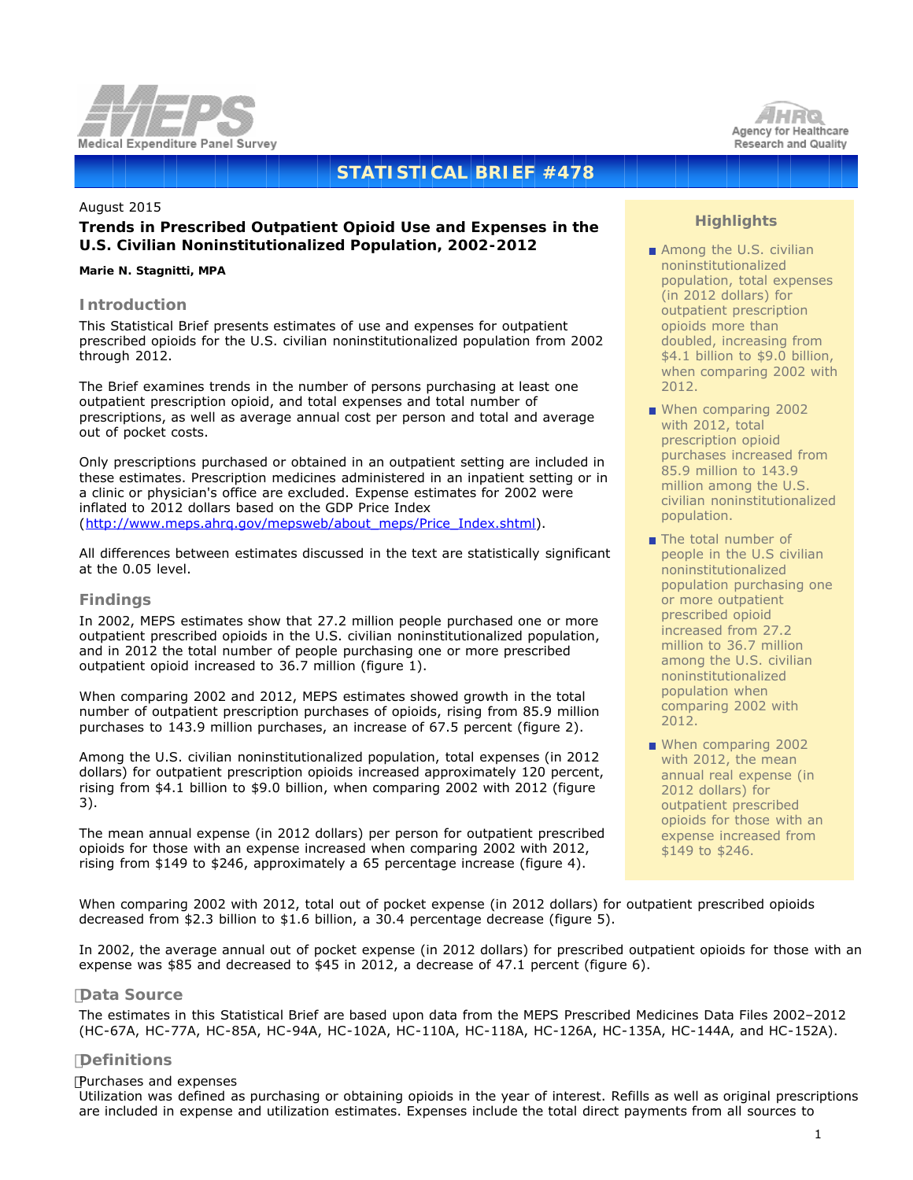



# **STATISTICAL BRIEF #478**

#### August 2015

# **Trends in Prescribed Outpatient Opioid Use and Expenses in the U.S. Civilian Noninstitutionalized Population, 2002-2012**

#### *Marie N. Stagnitti, MPA*

## **Introduction**

This Statistical Brief presents estimates of use and expenses for outpatient prescribed opioids for the U.S. civilian noninstitutionalized population from 2002 through 2012.

The Brief examines trends in the number of persons purchasing at least one outpatient prescription opioid, and total expenses and total number of prescriptions, as well as average annual cost per person and total and average out of pocket costs.

Only prescriptions purchased or obtained in an outpatient setting are included in these estimates. Prescription medicines administered in an inpatient setting or in a clinic or physician's office are excluded. Expense estimates for 2002 were inflated to 2012 dollars based on the GDP Price Index [\(http://www.meps.ahrq.gov/mepsweb/about\\_meps/Price\\_Index.shtml](http://www.meps.ahrq.gov/mepsweb/about_meps/Price_Index.shtml)).

All differences between estimates discussed in the text are statistically significant at the 0.05 level.

## **Findings**

In 2002, MEPS estimates show that 27.2 million people purchased one or more outpatient prescribed opioids in the U.S. civilian noninstitutionalized population, and in 2012 the total number of people purchasing one or more prescribed outpatient opioid increased to 36.7 million (figure 1).

When comparing 2002 and 2012, MEPS estimates showed growth in the total number of outpatient prescription purchases of opioids, rising from 85.9 million purchases to 143.9 million purchases, an increase of 67.5 percent (figure 2).

Among the U.S. civilian noninstitutionalized population, total expenses (in 2012 dollars) for outpatient prescription opioids increased approximately 120 percent, rising from \$4.1 billion to \$9.0 billion, when comparing 2002 with 2012 (figure 3).

The mean annual expense (in 2012 dollars) per person for outpatient prescribed opioids for those with an expense increased when comparing 2002 with 2012, rising from \$149 to \$246, approximately a 65 percentage increase (figure 4).

# **Highlights**

- Among the U.S. civilian noninstitutionalized population, total expenses (in 2012 dollars) for outpatient prescription opioids more than doubled, increasing from \$4.1 billion to \$9.0 billion, when comparing 2002 with 2012.
- When comparing 2002 with 2012, total prescription opioid purchases increased from 85.9 million to 143.9 million among the U.S. civilian noninstitutionalized population.
- The total number of people in the U.S civilian noninstitutionalized population purchasing one or more outpatient prescribed opioid increased from 27.2 million to 36.7 million among the U.S. civilian noninstitutionalized population when comparing 2002 with 2012.
- When comparing 2002 with 2012, the mean annual real expense (in 2012 dollars) for outpatient prescribed opioids for those with an expense increased from \$149 to \$246.

 When comparing 2002 with 2012, total out of pocket expense (in 2012 dollars) for outpatient prescribed opioids decreased from \$2.3 billion to \$1.6 billion, a 30.4 percentage decrease (figure 5).

 In 2002, the average annual out of pocket expense (in 2012 dollars) for prescribed outpatient opioids for those with an expense was \$85 and decreased to \$45 in 2012, a decrease of 47.1 percent (figure 6).

## **Data Source**

 The estimates in this Statistical Brief are based upon data from the MEPS Prescribed Medicines Data Files 2002–2012 (HC-67A, HC-77A, HC-85A, HC-94A, HC-102A, HC-110A, HC-118A, HC-126A, HC-135A, HC-144A, and HC-152A).

# **Definitions**

#### *Purchases and expenses*

 Utilization was defined as purchasing or obtaining opioids in the year of interest. Refills as well as original prescriptions are included in expense and utilization estimates. Expenses include the total direct payments from all sources to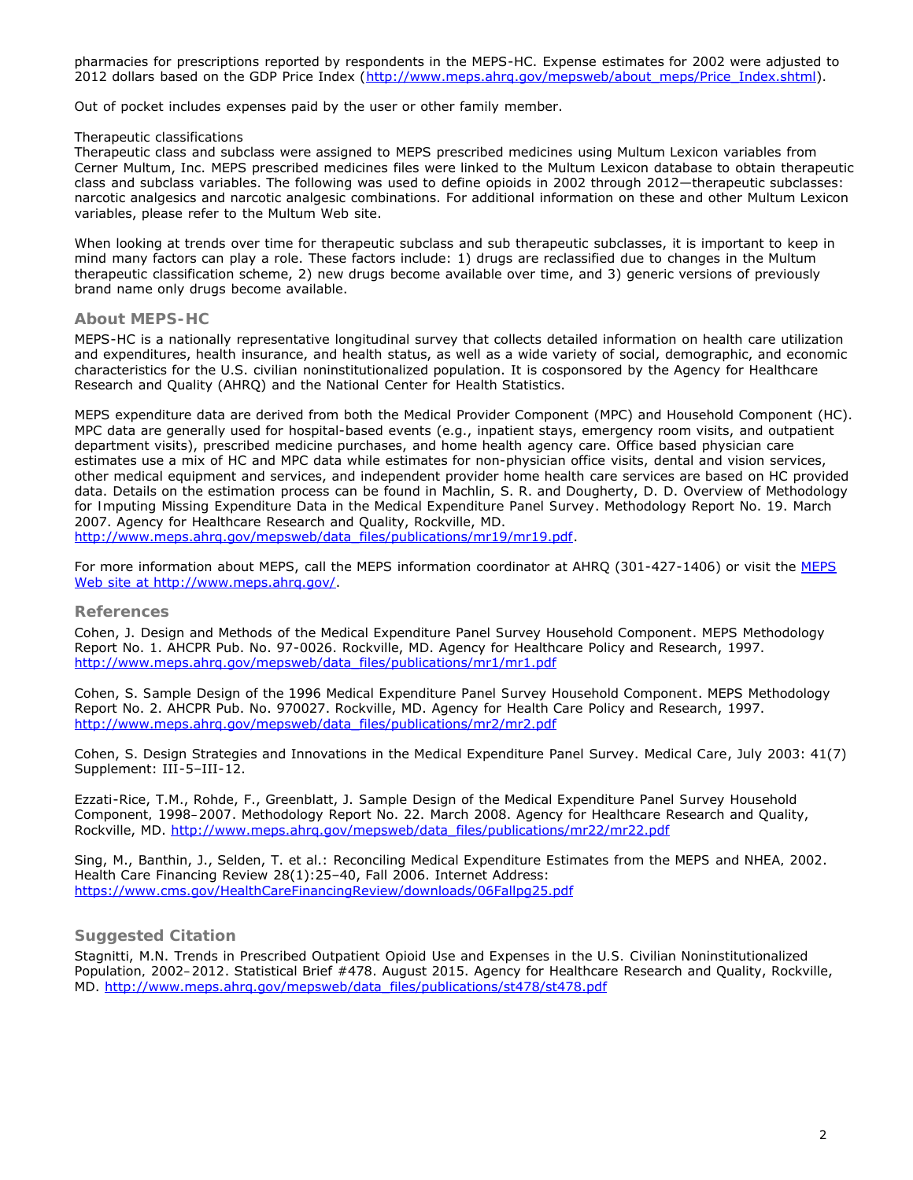pharmacies for prescriptions reported by respondents in the MEPS-HC. Expense estimates for 2002 were adjusted to 2012 dollars based on the GDP Price Index (http://www.meps.ahrg.gov/mepsweb/about\_meps/Price\_Index.shtml).

Out of pocket includes expenses paid by the user or other family member.

#### *Therapeutic classifications*

Therapeutic class and subclass were assigned to MEPS prescribed medicines using Multum Lexicon variables from Cerner Multum, Inc. MEPS prescribed medicines files were linked to the Multum Lexicon database to obtain therapeutic class and subclass variables. The following was used to define opioids in 2002 through 2012—therapeutic subclasses: narcotic analgesics and narcotic analgesic combinations. For additional information on these and other Multum Lexicon variables, please refer to the Multum Web site.

When looking at trends over time for therapeutic subclass and sub therapeutic subclasses, it is important to keep in mind many factors can play a role. These factors include: 1) drugs are reclassified due to changes in the Multum therapeutic classification scheme, 2) new drugs become available over time, and 3) generic versions of previously brand name only drugs become available.

## **About MEPS-HC**

MEPS-HC is a nationally representative longitudinal survey that collects detailed information on health care utilization and expenditures, health insurance, and health status, as well as a wide variety of social, demographic, and economic characteristics for the U.S. civilian noninstitutionalized population. It is cosponsored by the Agency for Healthcare Research and Quality (AHRQ) and the National Center for Health Statistics.

MEPS expenditure data are derived from both the Medical Provider Component (MPC) and Household Component (HC). MPC data are generally used for hospital-based events (e.g., inpatient stays, emergency room visits, and outpatient department visits), prescribed medicine purchases, and home health agency care. Office based physician care estimates use a mix of HC and MPC data while estimates for non-physician office visits, dental and vision services, other medical equipment and services, and independent provider home health care services are based on HC provided data. Details on the estimation process can be found in Machlin, S. R. and Dougherty, D. D. *Overview of Methodology for Imputing Missing Expenditure Data in the Medical Expenditure Panel Survey*. Methodology Report No. 19. March 2007. Agency for Healthcare Research and Quality, Rockville, MD.

[http://www.meps.ahrq.gov/mepsweb/data\\_files/publications/mr19/mr19.pdf.](http://www.meps.ahrq.gov/mepsweb/data_files/publications/mr19/mr19.pdf)

For more information about [MEPS](file:///T|/Ah4Web/MEPSPUBS/gen_sb/data_files/publications/sb478/MEPS Web site at http://www.meps.ahrq.gov/), call the MEPS information coordinator at AHRQ (301-427-1406) or visit the MEPS Web site at http://www.meps.ahrg.gov/.

#### **References**

Cohen, J. *Design and Methods of the Medical Expenditure Panel Survey Household Component*. MEPS Methodology Report No. 1. AHCPR Pub. No. 97-0026. Rockville, MD. Agency for Healthcare Policy and Research, 1997. [http://www.meps.ahrq.gov/mepsweb/data\\_files/publications/mr1/mr1.pdf](http://www.meps.ahrq.gov/mepsweb/data_files/publications/mr1/mr1.pdf)

Cohen, S. *Sample Design of the 1996 Medical Expenditure Panel Survey Household Component*. MEPS Methodology Report No. 2. AHCPR Pub. No. 970027. Rockville, MD. Agency for Health Care Policy and Research, 1997. [http://www.meps.ahrq.gov/mepsweb/data\\_files/publications/mr2/mr2.pdf](http://www.meps.ahrq.gov/mepsweb/data_files/publications/mr2/mr2.pdf)

Cohen, S. Design Strategies and Innovations in the Medical Expenditure Panel Survey. *Medical Care*, July 2003: 41(7) Supplement: III-5–III-12.

Ezzati-Rice, T.M., Rohde, F., Greenblatt, J. *Sample Design of the Medical Expenditure Panel Survey Household Component, 1998–2007*. Methodology Report No. 22. March 2008. Agency for Healthcare Research and Quality, Rockville, MD. [http://www.meps.ahrq.gov/mepsweb/data\\_files/publications/mr22/mr22.pdf](http://www.meps.ahrq.gov/mepsweb/data_files/publications/mr22/mr22.pdf)

Sing, M., Banthin, J., Selden, T. et al.: *Reconciling Medical Expenditure Estimates from the MEPS and NHEA, 2002*. Health Care Financing Review 28(1):25–40, Fall 2006. Internet Address: <https://www.cms.gov/HealthCareFinancingReview/downloads/06Fallpg25.pdf>

# **Suggested Citation**

Stagnitti, M.N. *Trends in Prescribed Outpatient Opioid Use and Expenses in the U.S. Civilian Noninstitutionalized Population, 2002–2012*. Statistical Brief #478. August 2015. Agency for Healthcare Research and Quality, Rockville, MD. http://www.meps.ahrq.gov/mepsweb/data\_files/publications/st478/st478.pdf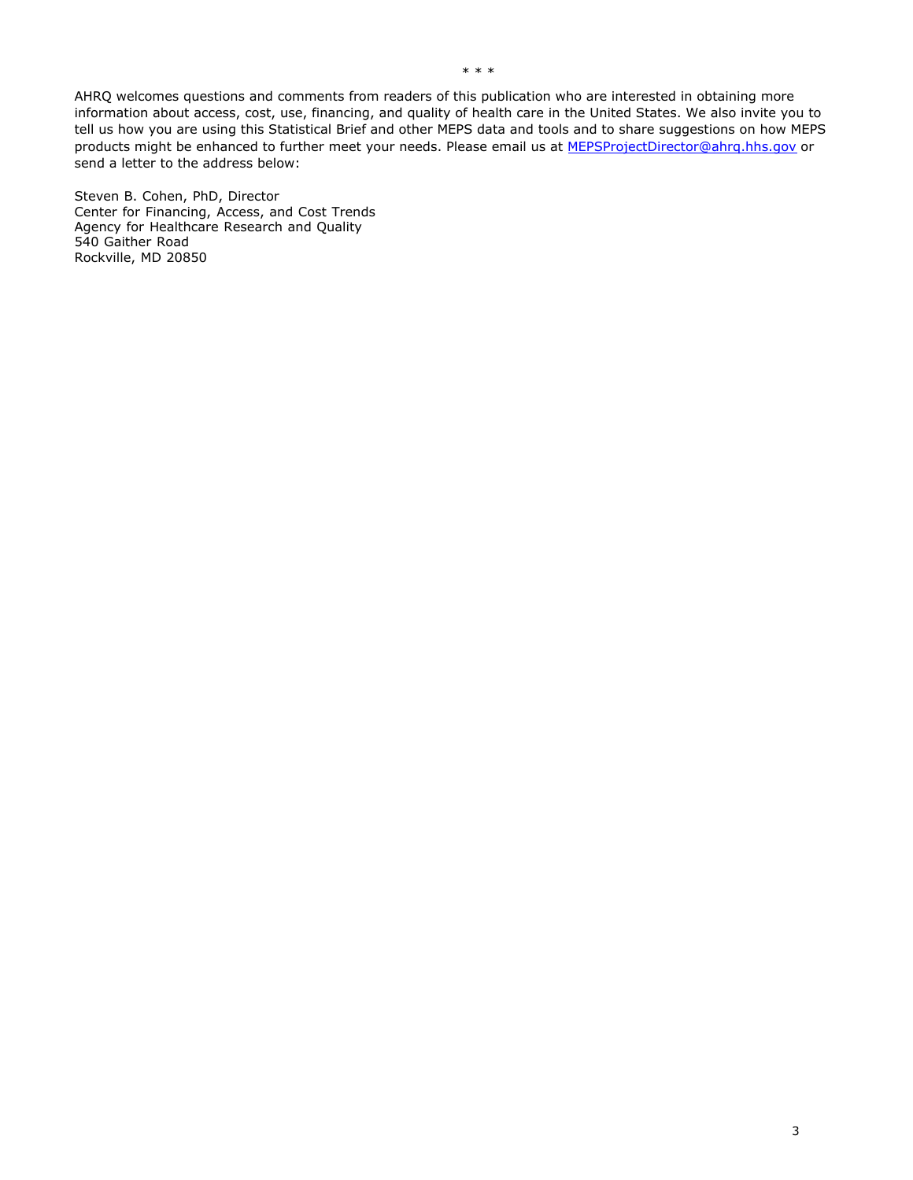AHRQ welcomes questions and comments from readers of this publication who are interested in obtaining more information about access, cost, use, financing, and quality of health care in the United States. We also invite you to tell us how you are using this Statistical Brief and other MEPS data and tools and to share suggestions on how MEPS products might be enhanced to further meet your needs. Please email us atMEPSProjectDirector@ahrq.hhs.govor send a letter to the address below:

Steven B. Cohen, PhD, Director Center for Financing, Access, and Cost Trends Agency for Healthcare Research and Quality 540 Gaither Road Rockville, MD 20850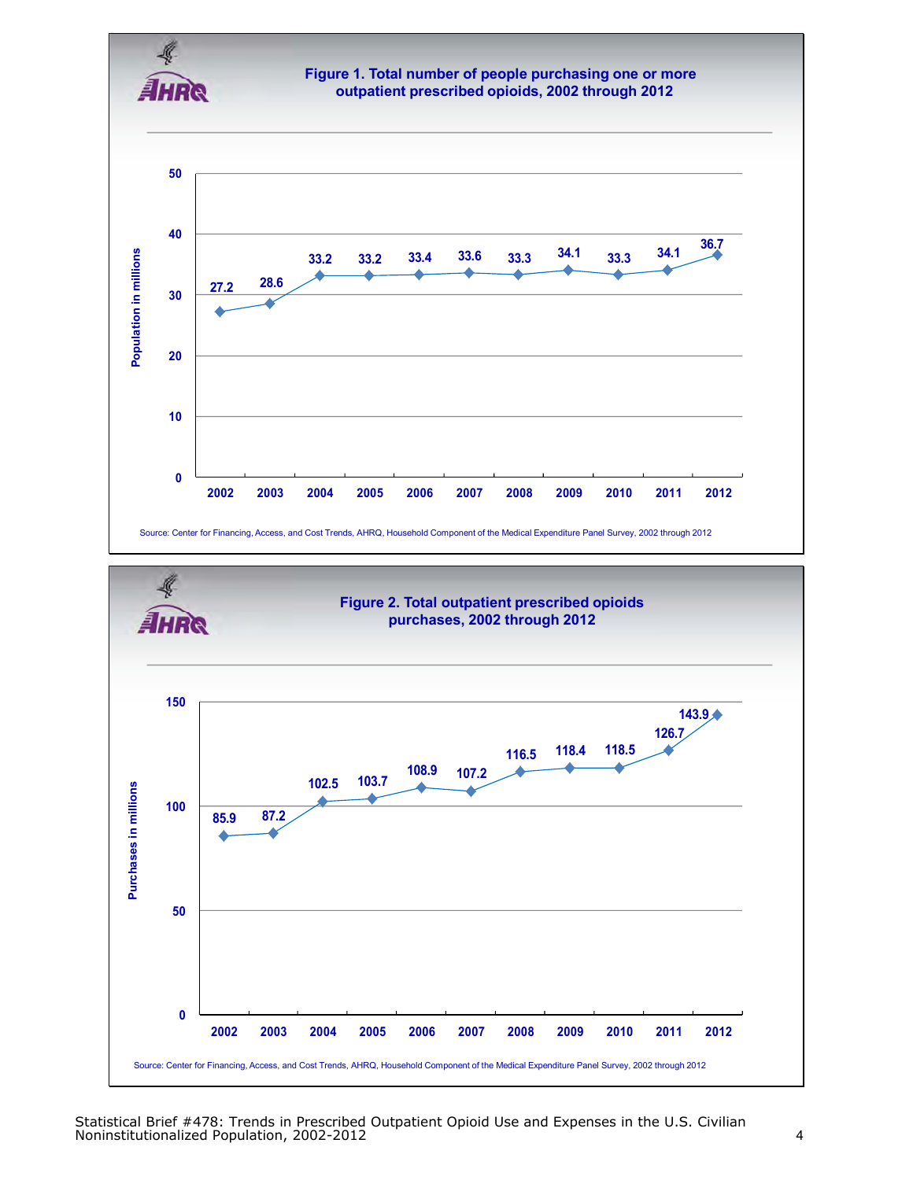

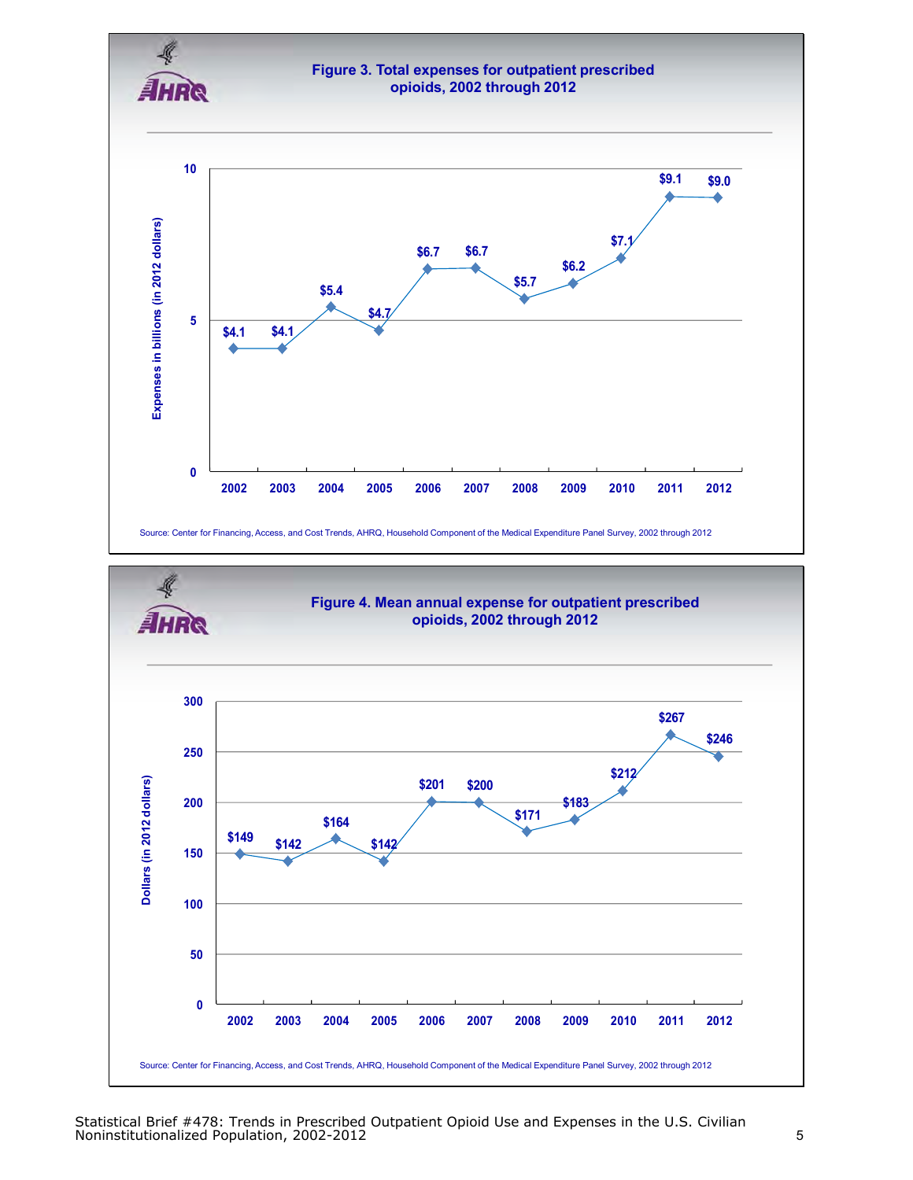